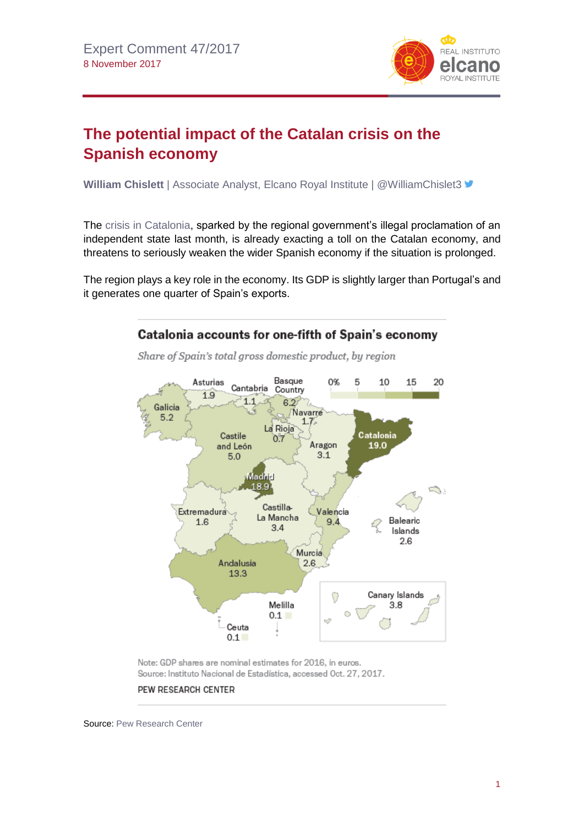

## **The potential impact of the Catalan crisis on the Spanish economy**

**William Chislett** | Associate Analyst, Elcano Royal Institute | @WilliamChislet3 <del>■</del>

The [crisis in Catalonia,](http://www.realinstitutoelcano.org/wps/portal/rielcano_en/contenido?WCM_GLOBAL_CONTEXT=/elcano/elcano_in/zonas_in/catalonia-dossier-elcano-october-2017) sparked by the regional government's illegal proclamation of an independent state last month, is already exacting a toll on the Catalan economy, and threatens to seriously weaken the wider Spanish economy if the situation is prolonged.

The region plays a key role in the economy. Its GDP is slightly larger than Portugal's and it generates one quarter of Spain's exports.



Note: GDP shares are nominal estimates for 2016, in euros. Source: Instituto Nacional de Estadística, accessed Oct. 27, 2017.

## PEW RESEARCH CENTER

Source[: Pew Research Center](http://www.pewresearch.org/fact-tank/2017/11/06/dissatisfaction-was-widespread-in-spain-even-before-catalan-secession-vote/)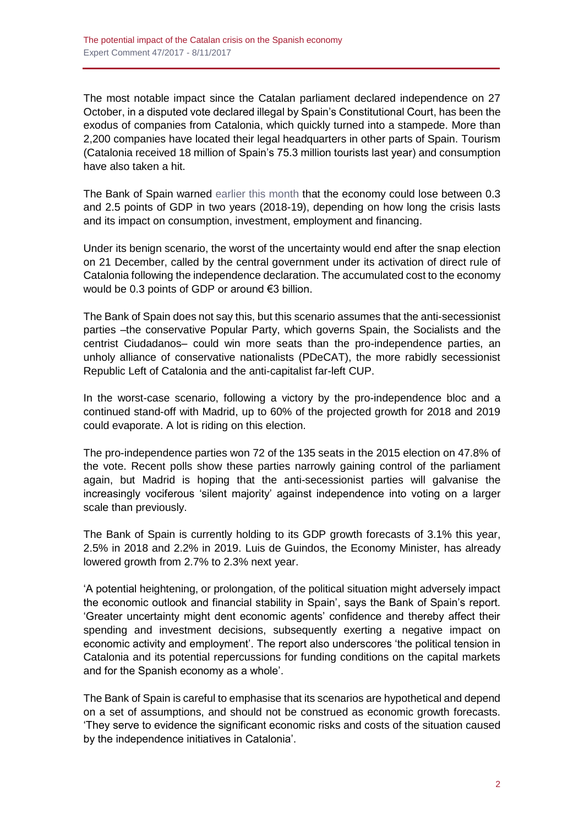The most notable impact since the Catalan parliament declared independence on 27 October, in a disputed vote declared illegal by Spain's Constitutional Court, has been the exodus of companies from Catalonia, which quickly turned into a stampede. More than 2,200 companies have located their legal headquarters in other parts of Spain. Tourism (Catalonia received 18 million of Spain's 75.3 million tourists last year) and consumption have also taken a hit.

The Bank of Spain warned [earlier this month](https://www.bde.es/f/webbde/Secciones/Publicaciones/InformesBoletinesRevistas/InformesEstabilidadFinancera/17/IEF_Noviembre2017Ing.pdf) that the economy could lose between 0.3 and 2.5 points of GDP in two years (2018-19), depending on how long the crisis lasts and its impact on consumption, investment, employment and financing.

Under its benign scenario, the worst of the uncertainty would end after the snap election on 21 December, called by the central government under its activation of direct rule of Catalonia following the independence declaration. The accumulated cost to the economy would be 0.3 points of GDP or around €3 billion.

The Bank of Spain does not say this, but this scenario assumes that the anti-secessionist parties –the conservative Popular Party, which governs Spain, the Socialists and the centrist Ciudadanos– could win more seats than the pro-independence parties, an unholy alliance of conservative nationalists (PDeCAT), the more rabidly secessionist Republic Left of Catalonia and the anti-capitalist far-left CUP.

In the worst-case scenario, following a victory by the pro-independence bloc and a continued stand-off with Madrid, up to 60% of the projected growth for 2018 and 2019 could evaporate. A lot is riding on this election.

The pro-independence parties won 72 of the 135 seats in the 2015 election on 47.8% of the vote. Recent polls show these parties narrowly gaining control of the parliament again, but Madrid is hoping that the anti-secessionist parties will galvanise the increasingly vociferous 'silent majority' against independence into voting on a larger scale than previously.

The Bank of Spain is currently holding to its GDP growth forecasts of 3.1% this year, 2.5% in 2018 and 2.2% in 2019. Luis de Guindos, the Economy Minister, has already lowered growth from 2.7% to 2.3% next year.

'A potential heightening, or prolongation, of the political situation might adversely impact the economic outlook and financial stability in Spain', says the Bank of Spain's report. 'Greater uncertainty might dent economic agents' confidence and thereby affect their spending and investment decisions, subsequently exerting a negative impact on economic activity and employment'. The report also underscores 'the political tension in Catalonia and its potential repercussions for funding conditions on the capital markets and for the Spanish economy as a whole'.

The Bank of Spain is careful to emphasise that its scenarios are hypothetical and depend on a set of assumptions, and should not be construed as economic growth forecasts. 'They serve to evidence the significant economic risks and costs of the situation caused by the independence initiatives in Catalonia'.